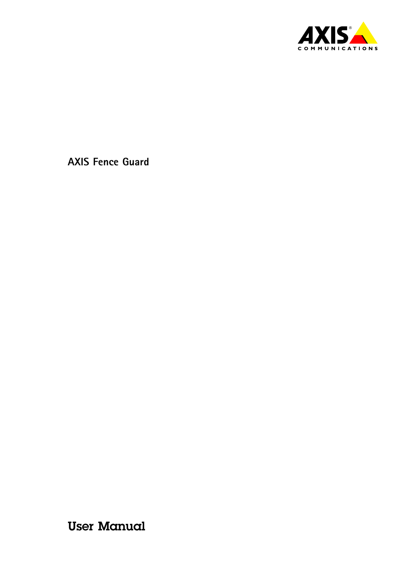

User Manual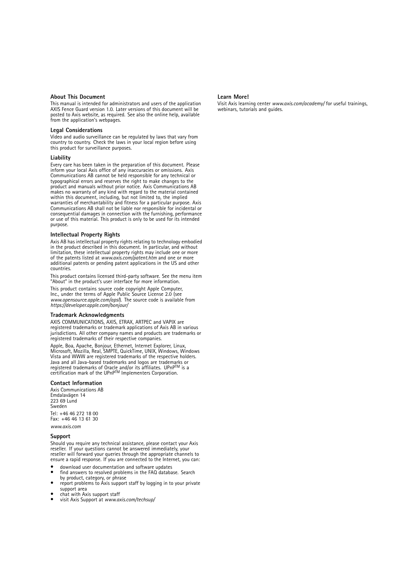#### **About This Document**

This manual is intended for administrators and users of the application AXIS Fence Guard version 1.0. Later versions of this document will be posted to Axis website, as required. See also the online help, available from the application's webpages.

#### **Legal Considerations**

Video and audio surveillance can be regulated by laws that vary from country to country. Check the laws in your local region before using this product for surveillance purposes.

#### **Liability**

Every care has been taken in the preparation of this document. Please inform your local Axis office of any inaccuracies or omissions. Axis Communications AB cannot be held responsible for any technical or typographical errors and reserves the right to make changes to the product and manuals without prior notice. Axis Communications AB<br>makes no warranty of any kind with regard to the material contained<br>within this document, including, but not limited to, the implied<br>warranties of merchantab Communications AB shall not be liable nor responsible for incidental or consequential damages in connection with the furnishing, performance or use of this material. This product is only to be used for its intended purpose.

#### **Intellectual Property Rights**

Axis AB has intellectual property rights relating to technology embodied in the product described in this document. In particular, and without limitation, these intellectual property rights may include one or more of the patents listed at *www.axis.com/patent.htm* and one or more additional patents or pending patent applications in the US and other countries.

This product contains licensed third-party software. See the menu item "About" in the product's user interface for more information.

This product contains source code copyright Apple Computer, Inc., under the terms of Apple Public Source License 2.0 (see *www.opensource.apple.com/apsl*). The source code is available from *https://developer.apple.com/bonjour/*

#### **Trademark Acknowledgments**

AXIS COMMUNICATIONS, AXIS, ETRAX, ARTPEC and VAPIX are registered trademarks or trademark applications of Axis AB in various jurisdictions. All other company names and products are trademarks or registered trademarks of their respective companies.

Apple, Boa, Apache, Bonjour, Ethernet, Internet Explorer, Linux, Microsoft, Mozilla, Real, SMPTE, QuickTime, UNIX, Windows, Windows Vista and WWW are registered trademarks of the respective holders. Java and all Java-based trademarks and logos are trademarks or registered trademarks of Oracle and/or its affiliates. UPnP™ is a<br>certification mark of the UPnP™ Implementers Corporation.

#### **Contact Information**

Axis Communications AB Emdalavägen 14 223 69 Lund Sweden Tel: +46 46 272 18 00 Fax: +46 46 13 61 30

*www.axis.com*

#### **Support**

Should you require any technical assistance, please contact your Axis reseller. If your questions cannot be answered immediately, your reseller will forward your queries through the appropriate channels to ensure <sup>a</sup> rapid response. If you are connected to the Internet, you can:

- •download user documentation and software updates
- •find answers to resolved problems in the FAQ database. Search
- by product, category, or phrase report problems to Axis support staff by logging in to your private •support area
- •chat with Axis support staff
- •visit Axis Support at *www.axis.com/techsup/*

#### **Learn More!**

Visit Axis learning center *www.axis.com/academy/* for useful trainings, webinars, tutorials and guides.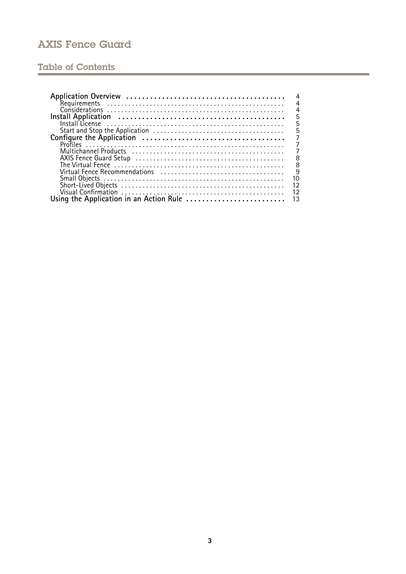## Table of Contents

| 4                                                                                                              |
|----------------------------------------------------------------------------------------------------------------|
| $\overline{4}$                                                                                                 |
| $\frac{4}{5}$                                                                                                  |
|                                                                                                                |
| 5                                                                                                              |
| $\overline{5}$                                                                                                 |
| $\overline{7}$                                                                                                 |
| $\overline{7}$                                                                                                 |
|                                                                                                                |
| 8                                                                                                              |
| $\frac{8}{9}$                                                                                                  |
| Virtual Fence Recommendations (all contained according vertical vertical vertical vertical vertical vertical v |
| 10                                                                                                             |
| 12                                                                                                             |
| 12                                                                                                             |
|                                                                                                                |
|                                                                                                                |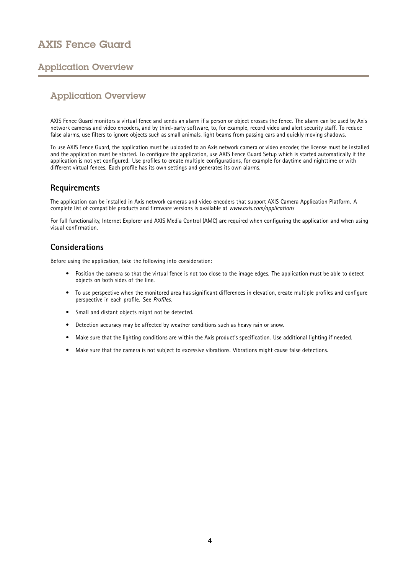## <span id="page-3-0"></span>Application Overview

### Application Overview

AXIS Fence Guard monitors <sup>a</sup> virtual fence and sends an alarm if <sup>a</sup> person or object crosses the fence. The alarm can be used by Axis network cameras and video encoders, and by third-party software, to, for example, record video and alert security staff. To reduce false alarms, use filters to ignore objects such as small animals, light beams from passing cars and quickly moving shadows.

To use AXIS Fence Guard, the application must be uploaded to an Axis network camera or video encoder, the license must be installed and the application must be started. To configure the application, use AXIS Fence Guard Setup which is started automatically if the application is not yet configured. Use profiles to create multiple configurations, for example for daytime and nighttime or with different virtual fences. Each profile has its own settings and generates its own alarms.

### **Requirements**

The application can be installed in Axis network cameras and video encoders that support AXIS Camera Application Platform. A complete list of compatible products and firmware versions is available at *[www.axis.com/applications](http://www.axis.com/applications)*

For full functionality, Internet Explorer and AXIS Media Control (AMC) are required when configuring the application and when using visual confirmation.

### **Considerations**

Before using the application, take the following into consideration:

- Position the camera so that the virtual fence is not too close to the image edges. The application must be able to detect objects on both sides of the line.
- To use perspective when the monitored area has significant differences in elevation, create multiple profiles and configure perspective in each profile. See *[Profiles](#page-6-0)*.
- •Small and distant objects might not be detected.
- Detection accuracy may be affected by weather conditions such as heavy rain or snow.
- Make sure that the lighting conditions are within the Axis product's specification. Use additional lighting if needed.
- Make sure that the camera is not subject to excessive vibrations. Vibrations might cause false detections.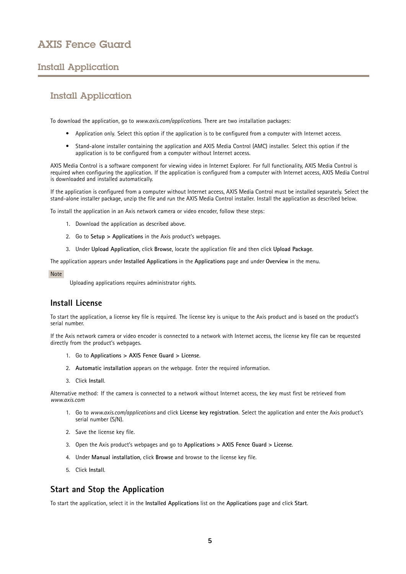## <span id="page-4-0"></span>Install Application

## Install Application

To download the application, go to *[www.axis.com/applications](http://www.axis.com/applications)*. There are two installation packages:

- Application only. Select this option if the application is to be configured from <sup>a</sup> computer with Internet access.
- Stand-alone installer containing the application and AXIS Media Control (AMC) installer. Select this option if the application is to be configured from <sup>a</sup> computer without Internet access.

AXIS Media Control is <sup>a</sup> software component for viewing video in Internet Explorer. For full functionality, AXIS Media Control is required when configuring the application. If the application is configured from <sup>a</sup> computer with Internet access, AXIS Media Control is downloaded and installed automatically.

If the application is configured from <sup>a</sup> computer without Internet access, AXIS Media Control must be installed separately. Select the stand-alone installer package, unzip the file and run the AXIS Media Control installer. Install the application as described below.

To install the application in an Axis network camera or video encoder, follow these steps:

- 1. Download the application as described above.
- 2. Go to **Setup <sup>&</sup>gt; Applications** in the Axis product's webpages.
- 3. Under **Upload Application**, click **Browse**, locate the application file and then click **Upload Package**.

The application appears under **Installed Applications** in the **Applications** page and under **Overview** in the menu.

#### Note

Uploading applications requires administrator rights.

### **Install License**

To start the application, <sup>a</sup> license key file is required. The license key is unique to the Axis product and is based on the product's serial number.

If the Axis network camera or video encoder is connected to <sup>a</sup> network with Internet access, the license key file can be requested directly from the product's webpages.

- 1. Go to **Applications <sup>&</sup>gt; AXIS Fence Guard <sup>&</sup>gt; License**.
- 2. **Automatic installation** appears on the webpage. Enter the required information.
- 3. Click **Install**.

Alternative method: If the camera is connected to <sup>a</sup> network without Internet access, the key must first be retrieved from *[www.axis.com](http://www.axis.com)*

- 1. Go to *[www.axis.com/applications](http://www.axis.com/applications)* and click **License key registration**. Select the application and enter the Axis product's serial number (S/N).
- 2. Save the license key file.
- 3. Open the Axis product's webpages and go to **Applications <sup>&</sup>gt; AXIS Fence Guard <sup>&</sup>gt; License**.
- 4. Under **Manual installation**, click **Browse** and browse to the license key file.
- 5. Click **Install**.

### **Start and Stop the Application**

To start the application, select it in the **Installed Applications** list on the **Applications** page and click **Start**.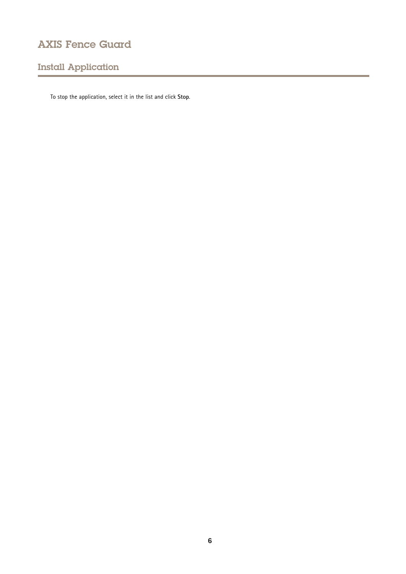# Install Application

To stop the application, select it in the list and click **Stop**.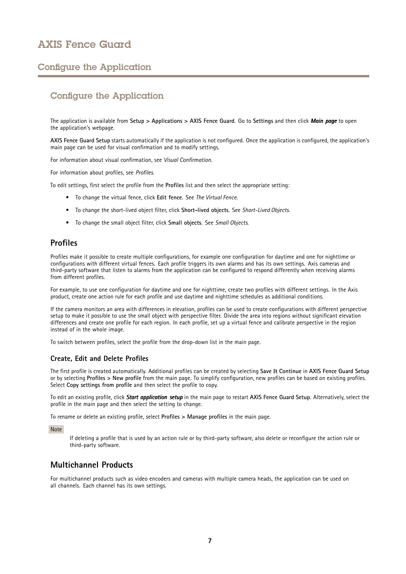## <span id="page-6-0"></span>Configure the Application

## Configure the Application

The application is available from **Setup <sup>&</sup>gt; Applications <sup>&</sup>gt; AXIS Fence Guard**. Go to **Settings** and then click *Main page* to open the application's webpage.

**AXIS Fence Guard Setup** starts automatically if the application is not configured. Once the application is configured, the application's main page can be used for visual confirmation and to modify settings.

For information about visual confirmation, see *Visual [Confirmation](#page-11-0)*.

For information about profiles, see *Profiles*.

To edit settings, first select the profile from the **Profiles** list and then select the appropriate setting:

- To change the virtual fence, click **Edit fence**. See *The [Virtual](#page-7-0) Fence*.
- To change the short-lived object filter, click **Short-lived objects**. See *[Short-Lived](#page-11-0) Objects*.
- To change the small object filter, click **Small objects**. See *Small [Objects](#page-9-0)*.

### **Profiles**

Profiles make it possible to create multiple configurations, for example one configuration for daytime and one for nighttime or configurations with different virtual fences. Each profile triggers its own alarms and has its own settings. Axis cameras and third-party software that listen to alarms from the application can be configured to respond differently when receiving alarms from different profiles.

For example, to use one configuration for daytime and one for nighttime, create two profiles with different settings. In the Axis product, create one action rule for each profile and use daytime and nighttime schedules as additional conditions.

If the camera monitors an area with differences in elevation, profiles can be used to create configurations with different perspective setup to make it possible to use the small object with perspective filter. Divide the area into regions without significant elevation differences and create one profile for each region. In each profile, set up <sup>a</sup> virtual fence and calibrate perspective in the region instead of in the whole image.

To switch between profiles, select the profile from the drop-down list in the main page.

#### **Create, Edit and Delete Profiles**

The first profile is created automatically. Additional profiles can be created by selecting **Save & Continue** in **AXIS Fence Guard Setup** or by selecting **Profiles <sup>&</sup>gt; New profile** from the main page. To simplify configuration, new profiles can be based on existing profiles. Select **Copy settings from profile** and then select the profile to copy.

To edit an existing profile, click *Start application applicationsetup* in the main page to restart **AXIS Fence Guard Setup**. Alternatively, select the profile in the main page and then select the setting to change.

To rename or delete an existing profile, select **Profiles <sup>&</sup>gt; Manage profiles** in the main page.

Note

If deleting <sup>a</sup> profile that is used by an action rule or by third-party software, also delete or reconfigure the action rule or third-party software.

### **Multichannel Products**

For multichannel products such as video encoders and cameras with multiple camera heads, the application can be used on all channels. Each channel has its own settings.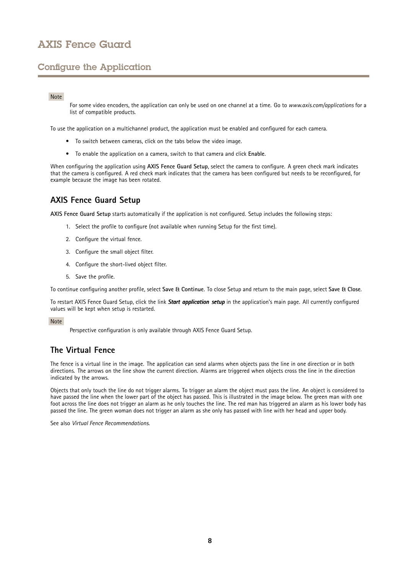## <span id="page-7-0"></span>Configure the Application

#### Note

For some video encoders, the application can only be used on one channel at <sup>a</sup> time. Go to *[www.axis.com/applications](http://www.axis.com/applications)* for <sup>a</sup> list of compatible products.

To use the application on <sup>a</sup> multichannel product, the application must be enabled and configured for each camera.

- To switch between cameras, click on the tabs below the video image.
- To enable the application on <sup>a</sup> camera, switch to that camera and click **Enable**.

When configuring the application using **AXIS Fence Guard Setup**, select the camera to configure. A green check mark indicates that the camera is configured. A red check mark indicates that the camera has been configured but needs to be reconfigured, for example because the image has been rotated.

### **AXIS Fence Guard Setup**

**AXIS Fence Guard Setup** starts automatically if the application is not configured. Setup includes the following steps:

- 1. Select the profile to configure (not available when running Setup for the first time).
- 2. Configure the virtual fence.
- 3. Configure the small object filter.
- 4. Configure the short-lived object filter.
- 5. Save the profile.

To continue configuring another profile, select **Save & Continue**. To close Setup and return to the main page, select **Save & Close**.

To restart AXIS Fence Guard Setup, click the link *Start application application setup* in the application's main page. All currently configured values will be kept when setup is restarted.

#### Note

Perspective configuration is only available through AXIS Fence Guard Setup.

### **The Virtual Fence**

The fence is <sup>a</sup> virtual line in the image. The application can send alarms when objects pass the line in one direction or in both directions. The arrows on the line show the current direction. Alarms are triggered when objects cross the line in the direction indicated by the arrows.

Objects that only touch the line do not trigger alarms. To trigger an alarm the object must pass the line. An object is considered to have passed the line when the lower part of the object has passed. This is illustrated in the image below. The green man with one foot across the line does not trigger an alarm as he only touches the line. The red man has triggered an alarm as his lower body has passed the line. The green woman does not trigger an alarm as she only has passed with line with her head and upper body.

See also *Virtual Fence [Recommendations](#page-8-0)*.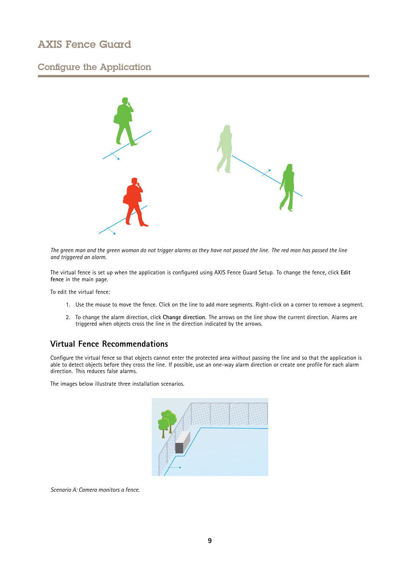### <span id="page-8-0"></span>Configure the Application



The green man and the green woman do not trigger alarms as they have not passed the line. The red man has passed the line *and triggered an alarm.*

The virtual fence is set up when the application is configured using AXIS Fence Guard Setup. To change the fence, click **Edit fence** in the main page.

To edit the virtual fence:

- 1. Use the mouse to move the fence. Click on the line to add more segments. Right-click on <sup>a</sup> corner to remove <sup>a</sup> segment.
- 2. To change the alarm direction, click **Change direction**. The arrows on the line show the current direction. Alarms are triggered when objects cross the line in the direction indicated by the arrows.

### **Virtual Fence Recommendations**

Configure the virtual fence so that objects cannot enter the protected area without passing the line and so that the application is able to detect objects before they cross the line. If possible, use an one-way alarm direction or create one profile for each alarm direction. This reduces false alarms.

The images below illustrate three installation scenarios.



*Scenario A: Camera monitors <sup>a</sup> fence.*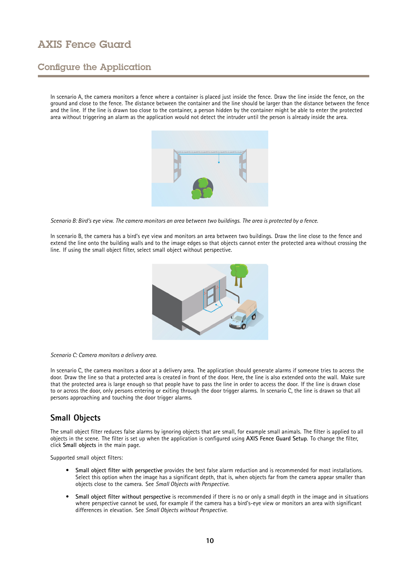## <span id="page-9-0"></span>Configure the Application

In scenario A, the camera monitors <sup>a</sup> fence where <sup>a</sup> container is placed just inside the fence. Draw the line inside the fence, on the ground and close to the fence. The distance between the container and the line should be larger than the distance between the fence and the line. If the line is drawn too close to the container, <sup>a</sup> person hidden by the container might be able to enter the protected area without triggering an alarm as the application would not detect the intruder until the person is already inside the area.



Scenario B: Bird's eye view. The camera monitors an area between two buildings. The area is protected by a fence.

In scenario B, the camera has <sup>a</sup> bird's eye view and monitors an area between two buildings. Draw the line close to the fence and extend the line onto the building walls and to the image edges so that objects cannot enter the protected area without crossing the line. If using the small object filter, select small object without perspective.



#### *Scenario C: Camera monitors <sup>a</sup> delivery area.*

In scenario C, the camera monitors <sup>a</sup> door at <sup>a</sup> delivery area. The application should generate alarms if someone tries to access the door. Draw the line so that <sup>a</sup> protected area is created in front of the door. Here, the line is also extended onto the wall. Make sure that the protected area is large enough so that people have to pass the line in order to access the door. If the line is drawn close to or across the door, only persons entering or exiting through the door trigger alarms. In scenario C, the line is drawn so that all persons approaching and touching the door trigger alarms.

### **Small Objects**

The small object filter reduces false alarms by ignoring objects that are small, for example small animals. The filter is applied to all objects in the scene. The filter is set up when the application is configured using **AXIS Fence Guard Setup**. To change the filter, click **Small objects** in the main page.

Supported small object filters:

- **Small object filter with perspective** provides the best false alarm reduction and is recommended for most installations. Select this option when the image has <sup>a</sup> significant depth, that is, when objects far from the camera appear smaller than objects close to the camera. See *Small Objects with [Perspective](#page-10-0)*.
- • **Small object filter without perspective** is recommended if there is no or only <sup>a</sup> small depth in the image and in situations where perspective cannot be used, for example if the camera has <sup>a</sup> bird's-eye view or monitors an area with significant differences in elevation. See *Small Objects without [Perspective](#page-10-0)*.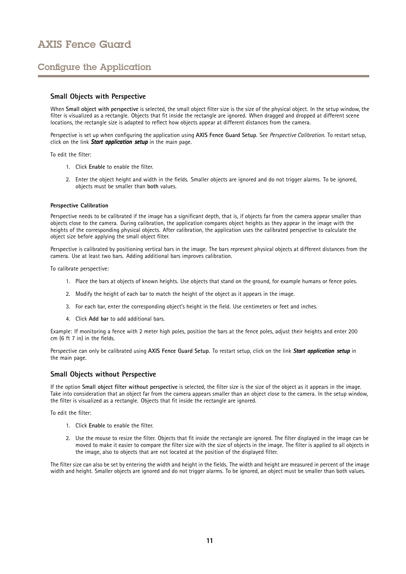## <span id="page-10-0"></span>Configure the Application

### **Small Objects with Perspective**

When **Small object with perspective** is selected, the small object filter size is the size of the physical object. In the setup window, the filter is visualized as <sup>a</sup> rectangle. Objects that fit inside the rectangle are ignored. When dragged and dropped at different scene locations, the rectangle size is adapted to reflect how objects appear at different distances from the camera.

Perspective is set up when configuring the application using **AXIS Fence Guard Setup**. See *Perspective Calibration*. To restart setup, click on the link **Start application setup** in the main page.

To edit the filter:

- 1. Click **Enable** to enable the filter.
- 2. Enter the object height and width in the fields. Smaller objects are ignored and do not trigger alarms. To be ignored, objects must be smaller than **both** values.

#### **Perspective Calibration**

Perspective needs to be calibrated if the image has <sup>a</sup> significant depth, that is, if objects far from the camera appear smaller than objects close to the camera. During calibration, the application compares object heights as they appear in the image with the heights of the corresponding physical objects. After calibration, the application uses the calibrated perspective to calculate the object size before applying the small object filter.

Perspective is calibrated by positioning vertical bars in the image. The bars represent physical objects at different distances from the camera. Use at least two bars. Adding additional bars improves calibration.

To calibrate perspective:

- 1. Place the bars at objects of known heights. Use objects that stand on the ground, for example humans or fence poles.
- 2. Modify the height of each bar to match the height of the object as it appears in the image.
- 3. For each bar, enter the corresponding object's height in the field. Use centimeters or feet and inches.
- 4. Click **Add bar** to add additional bars.

Example: If monitoring <sup>a</sup> fence with 2 meter high poles, position the bars at the fence poles, adjust their heights and enter 200 cm (6 ft <sup>7</sup> in) in the fields.

Perspective can only be calibrated using **AXIS Fence Guard Setup**. To restart setup, click on the link *Start application application setup* in the main page.

#### **Small Objects without Perspective**

If the option **Small object filter without perspective** is selected, the filter size is the size of the object as it appears in the image. Take into consideration that an object far from the camera appears smaller than an object close to the camera. In the setup window, the filter is visualized as <sup>a</sup> rectangle. Objects that fit inside the rectangle are ignored.

To edit the filter:

- 1. Click **Enable** to enable the filter.
- 2. Use the mouse to resize the filter. Objects that fit inside the rectangle are ignored. The filter displayed in the image can be moved to make it easier to compare the filter size with the size of objects in the image. The filter is applied to all objects in the image, also to objects that are not located at the position of the displayed filter.

The filter size can also be set by entering the width and height in the fields. The width and height are measured in percent of the image width and height. Smaller objects are ignored and do not trigger alarms. To be ignored, an object must be smaller than both values.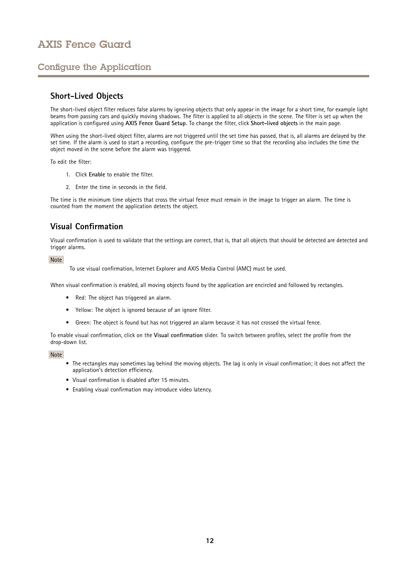## <span id="page-11-0"></span>Configure the Application

### **Short-Lived Objects**

The short-lived object filter reduces false alarms by ignoring objects that only appear in the image for <sup>a</sup> short time, for example light beams from passing cars and quickly moving shadows. The filter is applied to all objects in the scene. The filter is set up when the application is configured using **AXIS Fence Guard Setup**. To change the filter, click **Short-lived objects** in the main page.

When using the short-lived object filter, alarms are not triggered until the set time has passed, that is, all alarms are delayed by the set time. If the alarm is used to start <sup>a</sup> recording, configure the pre-trigger time so that the recording also includes the time the object moved in the scene before the alarm was triggered.

To edit the filter:

- 1. Click **Enable** to enable the filter.
- 2. Enter the time in seconds in the field.

The time is the minimum time objects that cross the virtual fence must remain in the image to trigger an alarm. The time is counted from the moment the application detects the object.

### **Visual Confirmation**

Visual confirmation is used to validate that the settings are correct, that is, that all objects that should be detected are detected and trigger alarms.

Note

To use visual confirmation, Internet Explorer and AXIS Media Control (AMC) must be used.

When visual confirmation is enabled, all moving objects found by the application are encircled and followed by rectangles.

- Red: The object has triggered an alarm.
- Yellow: The object is ignored because of an ignore filter.
- Green: The object is found but has not triggered an alarm because it has not crossed the virtual fence.

To enable visual confirmation, click on the **Visual confirmation** slider. To switch between profiles, select the profile from the drop-down list.

Note

- The rectangles may sometimes lag behind the moving objects. The lag is only in visual confirmation; it does not affect the application's detection efficiency.
- Visual confirmation is disabled after 15 minutes.
- Enabling visual confirmation may introduce video latency.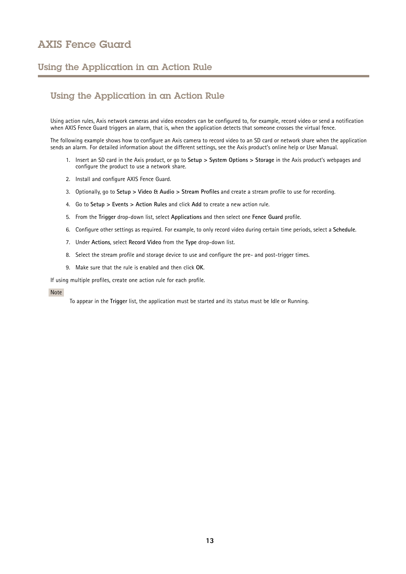### <span id="page-12-0"></span>Using the Application in an Action Rule

## Using the Application in an Action Rule

Using action rules, Axis network cameras and video encoders can be configured to, for example, record video or send <sup>a</sup> notification when AXIS Fence Guard triggers an alarm, that is, when the application detects that someone crosses the virtual fence.

The following example shows how to configure an Axis camera to record video to an SD card or network share when the application sends an alarm. For detailed information about the different settings, see the Axis product's online help or User Manual.

- 1. Insert an SD card in the Axis product, or go to **Setup <sup>&</sup>gt; System Options <sup>&</sup>gt; Storage** in the Axis product's webpages and configure the product to use <sup>a</sup> network share.
- 2. Install and configure AXIS Fence Guard.
- 3. Optionally, go to **Setup <sup>&</sup>gt; Video & Audio <sup>&</sup>gt; Stream Profiles** and create <sup>a</sup> stream profile to use for recording.
- 4. Go to **Setup <sup>&</sup>gt; Events <sup>&</sup>gt; Action Rules** and click **Add** to create <sup>a</sup> new action rule.
- 5. From the **Trigger** drop-down list, select **Applications** and then select one **Fence Guard** profile.
- 6. Configure other settings as required. For example, to only record video during certain time periods, select <sup>a</sup> **Schedule**.
- 7. Under **Actions**, select **Record Video** from the **Type** drop-down list.
- 8. Select the stream profile and storage device to use and configure the pre- and post-trigger times.
- 9. Make sure that the rule is enabled and then click **OK**.

If using multiple profiles, create one action rule for each profile.

#### Note

To appear in the **Trigger** list, the application must be started and its status must be Idle or Running.